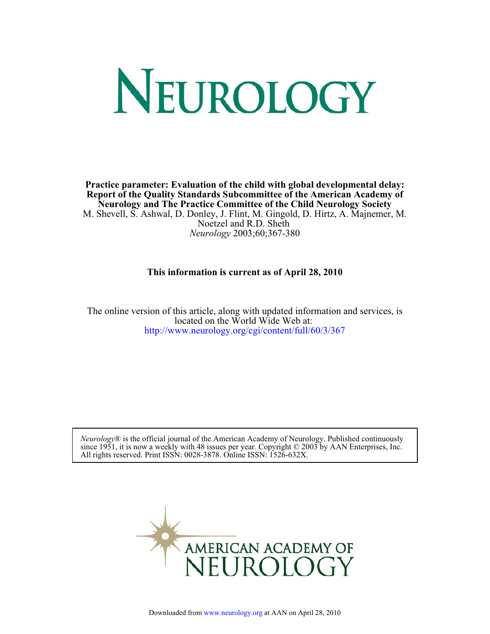# NEUROLOGY

*Neurology* 2003;60;367-380 Noetzel and R.D. Sheth M. Shevell, S. Ashwal, D. Donley, J. Flint, M. Gingold, D. Hirtz, A. Majnemer, M. **Neurology and The Practice Committee of the Child Neurology Society Report of the Quality Standards Subcommittee of the American Academy of Practice parameter: Evaluation of the child with global developmental delay:**

# **This information is current as of April 28, 2010**

http://www.neurology.org/cgi/content/full/60/3/367 located on the World Wide Web at: The online version of this article, along with updated information and services, is

All rights reserved. Print ISSN: 0028-3878. Online ISSN: 1526-632X. since 1951, it is now a weekly with 48 issues per year. Copyright  $\odot$  2003 by AAN Enterprises, Inc. *Neurology*® is the official journal of the American Academy of Neurology. Published continuously

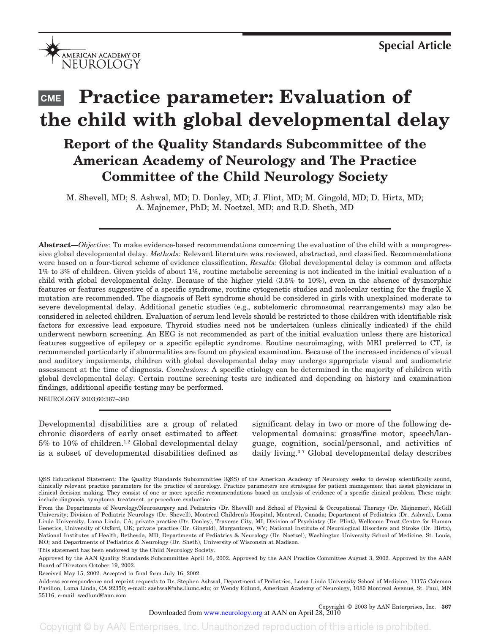**Special Article**



# **Report of the Quality Standards Subcommittee of the American Academy of Neurology and The Practice Committee of the Child Neurology Society**

M. Shevell, MD; S. Ashwal, MD; D. Donley, MD; J. Flint, MD; M. Gingold, MD; D. Hirtz, MD; A. Majnemer, PhD; M. Noetzel, MD; and R.D. Sheth, MD

**Abstract—***Objective:* To make evidence-based recommendations concerning the evaluation of the child with a nonprogressive global developmental delay. *Methods:* Relevant literature was reviewed, abstracted, and classified. Recommendations were based on a four-tiered scheme of evidence classification. *Results:* Global developmental delay is common and affects 1% to 3% of children. Given yields of about 1%, routine metabolic screening is not indicated in the initial evaluation of a child with global developmental delay. Because of the higher yield (3.5% to 10%), even in the absence of dysmorphic features or features suggestive of a specific syndrome, routine cytogenetic studies and molecular testing for the fragile X mutation are recommended. The diagnosis of Rett syndrome should be considered in girls with unexplained moderate to severe developmental delay. Additional genetic studies (e.g., subtelomeric chromosomal rearrangements) may also be considered in selected children. Evaluation of serum lead levels should be restricted to those children with identifiable risk factors for excessive lead exposure. Thyroid studies need not be undertaken (unless clinically indicated) if the child underwent newborn screening. An EEG is not recommended as part of the initial evaluation unless there are historical features suggestive of epilepsy or a specific epileptic syndrome. Routine neuroimaging, with MRI preferred to CT, is recommended particularly if abnormalities are found on physical examination. Because of the increased incidence of visual and auditory impairments, children with global developmental delay may undergo appropriate visual and audiometric assessment at the time of diagnosis. *Conclusions:* A specific etiology can be determined in the majority of children with global developmental delay. Certain routine screening tests are indicated and depending on history and examination findings, additional specific testing may be performed.

NEUROLOGY 2003;60:367–380

AMERICAN ACADEMY OF NEUROLOGY

Developmental disabilities are a group of related chronic disorders of early onset estimated to affect 5% to 10% of children.1,2 Global developmental delay is a subset of developmental disabilities defined as

significant delay in two or more of the following developmental domains: gross/fine motor, speech/language, cognition, social/personal, and activities of daily living.3-7 Global developmental delay describes

This statement has been endorsed by the Child Neurology Society.

Received May 15, 2002. Accepted in final form July 16, 2002.

Address correspondence and reprint requests to Dr. Stephen Ashwal, Department of Pediatrics, Loma Linda University School of Medicine, 11175 Coleman Pavilion, Loma Linda, CA 92350; e-mail: sashwal@ahs.llumc.edu; or Wendy Edlund, American Academy of Neurology, 1080 Montreal Avenue, St. Paul, MN 55116; e-mail: wedlund@aan.com

> Copyright © 2003 by AAN Enterprises, Inc. **367** Downloaded from www.neurology.org at AAN on April 28, 2010

QSS Educational Statement: The Quality Standards Subcommittee (QSS) of the American Academy of Neurology seeks to develop scientifically sound, clinically relevant practice parameters for the practice of neurology. Practice parameters are strategies for patient management that assist physicians in clinical decision making. They consist of one or more specific recommendations based on analysis of evidence of a specific clinical problem. These might include diagnosis, symptoms, treatment, or procedure evaluation.

From the Departments of Neurology/Neurosurgery and Pediatrics (Dr. Shevell) and School of Physical & Occupational Therapy (Dr. Majnemer), McGill University; Division of Pediatric Neurology (Dr. Shevell), Montreal Children's Hospital, Montreal, Canada; Department of Pediatrics (Dr. Ashwal), Loma Linda University, Loma Linda, CA; private practice (Dr. Donley), Traverse City, MI; Division of Psychiatry (Dr. Flint), Wellcome Trust Centre for Human Genetics, University of Oxford, UK; private practice (Dr. Gingold), Morgantown, WV; National Institute of Neurological Disorders and Stroke (Dr. Hirtz), National Institutes of Health, Bethesda, MD; Departments of Pediatrics & Neurology (Dr. Noetzel), Washington University School of Medicine, St. Louis, MO; and Departments of Pediatrics & Neurology (Dr. Sheth), University of Wisconsin at Madison.

Approved by the AAN Quality Standards Subcommittee April 16, 2002. Approved by the AAN Practice Committee August 3, 2002. Approved by the AAN Board of Directors October 19, 2002.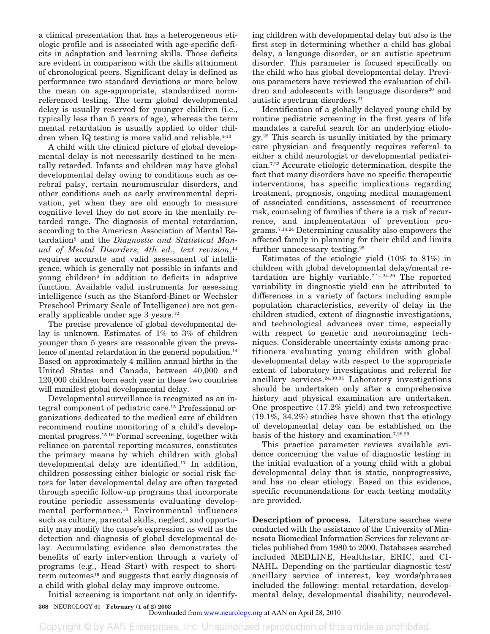a clinical presentation that has a heterogeneous etiologic profile and is associated with age-specific deficits in adaptation and learning skills. Those deficits are evident in comparison with the skills attainment of chronological peers. Significant delay is defined as performance two standard deviations or more below the mean on age-appropriate, standardized normreferenced testing. The term global developmental delay is usually reserved for younger children (i.e., typically less than 5 years of age), whereas the term mental retardation is usually applied to older children when IQ testing is more valid and reliable. $4-13$ 

A child with the clinical picture of global developmental delay is not necessarily destined to be mentally retarded. Infants and children may have global developmental delay owing to conditions such as cerebral palsy, certain neuromuscular disorders, and other conditions such as early environmental deprivation, yet when they are old enough to measure cognitive level they do not score in the mentally retarded range. The diagnosis of mental retardation, according to the American Association of Mental Retardation8 and the *Diagnostic and Statistical Manual of Mental Disorders, 4th ed., text revision*, 11 requires accurate and valid assessment of intelligence, which is generally not possible in infants and young children<sup>8</sup> in addition to deficits in adaptive function. Available valid instruments for assessing intelligence (such as the Stanford-Binet or Wechsler Preschool Primary Scale of Intelligence) are not generally applicable under age 3 years.<sup>12</sup>

The precise prevalence of global developmental delay is unknown. Estimates of 1% to 3% of children younger than 5 years are reasonable given the prevalence of mental retardation in the general population.<sup>14</sup> Based on approximately 4 million annual births in the United States and Canada, between 40,000 and 120,000 children born each year in these two countries will manifest global developmental delay.

Developmental surveillance is recognized as an integral component of pediatric care.15 Professional organizations dedicated to the medical care of children recommend routine monitoring of a child's developmental progress.15,16 Formal screening, together with reliance on parental reporting measures, constitutes the primary means by which children with global developmental delay are identified.17 In addition, children possessing either biologic or social risk factors for later developmental delay are often targeted through specific follow-up programs that incorporate routine periodic assessments evaluating developmental performance.18 Environmental influences such as culture, parental skills, neglect, and opportunity may modify the cause's expression as well as the detection and diagnosis of global developmental delay. Accumulating evidence also demonstrates the benefits of early intervention through a variety of programs (e.g., Head Start) with respect to shortterm outcomes<sup>19</sup> and suggests that early diagnosis of a child with global delay may improve outcome.

Initial screening is important not only in identify-

ing children with developmental delay but also is the first step in determining whether a child has global delay, a language disorder, or an autistic spectrum disorder. This parameter is focused specifically on the child who has global developmental delay. Previous parameters have reviewed the evaluation of children and adolescents with language disorders<sup>20</sup> and autistic spectrum disorders.21

Identification of a globally delayed young child by routine pediatric screening in the first years of life mandates a careful search for an underlying etiology.22 This search is usually initiated by the primary care physician and frequently requires referral to either a child neurologist or developmental pediatrician.7,23 Accurate etiologic determination, despite the fact that many disorders have no specific therapeutic interventions, has specific implications regarding treatment, prognosis, ongoing medical management of associated conditions, assessment of recurrence risk, counseling of families if there is a risk of recurrence, and implementation of prevention programs.7,14,24 Determining causality also empowers the affected family in planning for their child and limits further unnecessary testing.25

Estimates of the etiologic yield (10% to 81%) in children with global developmental delay/mental retardation are highly variable.7,14,24-29 The reported variability in diagnostic yield can be attributed to differences in a variety of factors including sample population characteristics, severity of delay in the children studied, extent of diagnostic investigations, and technological advances over time, especially with respect to genetic and neuroimaging techniques. Considerable uncertainty exists among practitioners evaluating young children with global developmental delay with respect to the appropriate extent of laboratory investigations and referral for ancillary services.24,30,31 Laboratory investigations should be undertaken only after a comprehensive history and physical examination are undertaken. One prospective (17.2% yield) and two retrospective (19.1%, 34.2%) studies have shown that the etiology of developmental delay can be established on the basis of the history and examination.7,28,29

This practice parameter reviews available evidence concerning the value of diagnostic testing in the initial evaluation of a young child with a global developmental delay that is static, nonprogressive, and has no clear etiology. Based on this evidence, specific recommendations for each testing modality are provided.

**Description of process.** Literature searches were conducted with the assistance of the University of Minnesota Biomedical Information Services for relevant articles published from 1980 to 2000. Databases searched included MEDLINE, Healthstar, ERIC, and CI-NAHL. Depending on the particular diagnostic test/ ancillary service of interest, key words/phrases included the following: mental retardation, developmental delay, developmental disability, neurodevel-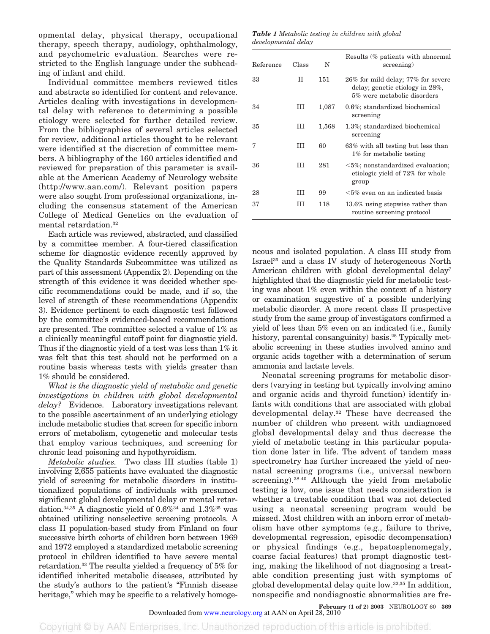opmental delay, physical therapy, occupational therapy, speech therapy, audiology, ophthalmology, and psychometric evaluation. Searches were restricted to the English language under the subheading of infant and child.

Individual committee members reviewed titles and abstracts so identified for content and relevance. Articles dealing with investigations in developmental delay with reference to determining a possible etiology were selected for further detailed review. From the bibliographies of several articles selected for review, additional articles thought to be relevant were identified at the discretion of committee members. A bibliography of the 160 articles identified and reviewed for preparation of this parameter is available at the American Academy of Neurology website (http://www.aan.com/). Relevant position papers were also sought from professional organizations, including the consensus statement of the American College of Medical Genetics on the evaluation of mental retardation.32

Each article was reviewed, abstracted, and classified by a committee member. A four-tiered classification scheme for diagnostic evidence recently approved by the Quality Standards Subcommittee was utilized as part of this assessment (Appendix 2). Depending on the strength of this evidence it was decided whether specific recommendations could be made, and if so, the level of strength of these recommendations (Appendix 3). Evidence pertinent to each diagnostic test followed by the committee's evidenced-based recommendations are presented. The committee selected a value of 1% as a clinically meaningful cutoff point for diagnostic yield. Thus if the diagnostic yield of a test was less than 1% it was felt that this test should not be performed on a routine basis whereas tests with yields greater than 1% should be considered.

*What is the diagnostic yield of metabolic and genetic investigations in children with global developmental delay?* Evidence. Laboratory investigations relevant to the possible ascertainment of an underlying etiology include metabolic studies that screen for specific inborn errors of metabolism, cytogenetic and molecular tests that employ various techniques, and screening for chronic lead poisoning and hypothyroidism.

*Metabolic studies.* Two class III studies (table 1) involving 2,655 patients have evaluated the diagnostic yield of screening for metabolic disorders in institutionalized populations of individuals with presumed significant global developmental delay or mental retardation.<sup>34,35</sup> A diagnostic yield of  $0.6\%$ <sup>34</sup> and  $1.3\%$ <sup>35</sup> was obtained utilizing nonselective screening protocols. A class II population-based study from Finland on four successive birth cohorts of children born between 1969 and 1972 employed a standardized metabolic screening protocol in children identified to have severe mental retardation.33 The results yielded a frequency of 5% for identified inherited metabolic diseases, attributed by the study's authors to the patient's "Finnish disease heritage," which may be specific to a relatively homoge-

*Table 1 Metabolic testing in children with global developmental delay*

| Reference | Class | N     | Results (% patients with abnormal<br>screening)                                                      |
|-----------|-------|-------|------------------------------------------------------------------------------------------------------|
| 33        | H     | 151   | 26% for mild delay; 77% for severe<br>delay; genetic etiology in 28%,<br>5% were metabolic disorders |
| 34        | Ш     | 1,087 | 0.6%; standardized biochemical<br>screening                                                          |
| 35        | Ш     | 1,568 | 1.3%; standardized biochemical<br>screening                                                          |
| 7         | HН    | 60    | 63% with all testing but less than<br>1% for metabolic testing                                       |
| 36        | HН    | 281   | $<5\%$ ; nonstandardized evaluation;<br>etiologic yield of 72% for whole<br>group                    |
| 28        | Ш     | 99    | $\leq 5\%$ even on an indicated basis                                                                |
| 37        | HН    | 118   | 13.6% using stepwise rather than<br>routine screening protocol                                       |

neous and isolated population. A class III study from Israel36 and a class IV study of heterogeneous North American children with global developmental delay<sup>7</sup> highlighted that the diagnostic yield for metabolic testing was about 1% even within the context of a history or examination suggestive of a possible underlying metabolic disorder. A more recent class II prospective study from the same group of investigators confirmed a yield of less than 5% even on an indicated (i.e., family history, parental consanguinity) basis.<sup>28</sup> Typically metabolic screening in these studies involved amino and organic acids together with a determination of serum ammonia and lactate levels.

Neonatal screening programs for metabolic disorders (varying in testing but typically involving amino and organic acids and thyroid function) identify infants with conditions that are associated with global developmental delay.32 These have decreased the number of children who present with undiagnosed global developmental delay and thus decrease the yield of metabolic testing in this particular population done later in life. The advent of tandem mass spectrometry has further increased the yield of neonatal screening programs (i.e., universal newborn screening).38-40 Although the yield from metabolic testing is low, one issue that needs consideration is whether a treatable condition that was not detected using a neonatal screening program would be missed. Most children with an inborn error of metabolism have other symptoms (e.g., failure to thrive, developmental regression, episodic decompensation) or physical findings (e.g., hepatosplenomegaly, coarse facial features) that prompt diagnostic testing, making the likelihood of not diagnosing a treatable condition presenting just with symptoms of global developmental delay quite low.32,35 In addition, nonspecific and nondiagnostic abnormalities are fre-

**February (1 of 2) 2003** NEUROLOGY 60 **369**

Downloaded from www.neurology.org at AAN on April 28, 2010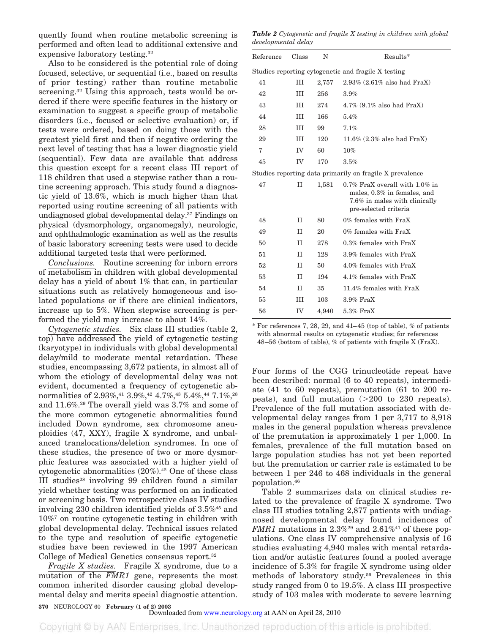quently found when routine metabolic screening is performed and often lead to additional extensive and expensive laboratory testing.32

Also to be considered is the potential role of doing focused, selective, or sequential (i.e., based on results of prior testing) rather than routine metabolic screening.<sup>32</sup> Using this approach, tests would be ordered if there were specific features in the history or examination to suggest a specific group of metabolic disorders (i.e., focused or selective evaluation) or, if tests were ordered, based on doing those with the greatest yield first and then if negative ordering the next level of testing that has a lower diagnostic yield (sequential). Few data are available that address this question except for a recent class III report of 118 children that used a stepwise rather than a routine screening approach. This study found a diagnostic yield of 13.6%, which is much higher than that reported using routine screening of all patients with undiagnosed global developmental delay.37 Findings on physical (dysmorphology, organomegaly), neurologic, and ophthalmologic examination as well as the results of basic laboratory screening tests were used to decide additional targeted tests that were performed.

*Conclusions.* Routine screening for inborn errors of metabolism in children with global developmental delay has a yield of about 1% that can, in particular situations such as relatively homogeneous and isolated populations or if there are clinical indicators, increase up to 5%. When stepwise screening is performed the yield may increase to about 14%.

*Cytogenetic studies.* Six class III studies (table 2, top) have addressed the yield of cytogenetic testing (karyotype) in individuals with global developmental delay/mild to moderate mental retardation. These studies, encompassing 3,672 patients, in almost all of whom the etiology of developmental delay was not evident, documented a frequency of cytogenetic abnormalities of 2.93%,<sup>41</sup> 3.9%,<sup>42</sup> 4.7%,<sup>43</sup> 5.4%,<sup>44</sup> 7.1%,<sup>28</sup> and 11.6%.29 The overall yield was 3.7% and some of the more common cytogenetic abnormalities found included Down syndrome, sex chromosome aneuploidies (47, XXY), fragile X syndrome, and unbalanced translocations/deletion syndromes. In one of these studies, the presence of two or more dysmorphic features was associated with a higher yield of cytogenetic abnormalities  $(20\%)$ .<sup>42</sup> One of these class III studies28 involving 99 children found a similar yield whether testing was performed on an indicated or screening basis. Two retrospective class IV studies involving 230 children identified yields of 3.5%45 and 10%7 on routine cytogenetic testing in children with global developmental delay. Technical issues related to the type and resolution of specific cytogenetic studies have been reviewed in the 1997 American College of Medical Genetics consensus report.32

*Fragile X studies.* Fragile X syndrome, due to a mutation of the *FMR1* gene, represents the most common inherited disorder causing global developmental delay and merits special diagnostic attention.

*Table 2 Cytogenetic and fragile X testing in children with global developmental delay*

| Reference                                                | Class     | N     | $Results*$                                                                                                                 |
|----------------------------------------------------------|-----------|-------|----------------------------------------------------------------------------------------------------------------------------|
| Studies reporting cytogenetic and fragile X testing      |           |       |                                                                                                                            |
| 41                                                       | Ш         | 2,757 | $2.93\%$ (2.61% also had FraX)                                                                                             |
| 42                                                       | Ш         | 256   | 3.9%                                                                                                                       |
| 43                                                       | Ш         | 274   | $4.7\%$ (9.1% also had FraX)                                                                                               |
| 44                                                       | Ш         | 166   | 5.4%                                                                                                                       |
| 28                                                       | Ш         | 99    | 7.1%                                                                                                                       |
| 29                                                       | Ш         | 120   | 11.6% $(2.3%$ also had FraX)                                                                                               |
| 7                                                        | <b>IV</b> | 60    | 10%                                                                                                                        |
| 45                                                       | <b>IV</b> | 170   | 3.5%                                                                                                                       |
| Studies reporting data primarily on fragile X prevalence |           |       |                                                                                                                            |
| 47                                                       | H         | 1,581 | $0.7\%$ FraX overall with 1.0% in<br>males, 0.3% in females, and<br>7.6% in males with clinically<br>pre-selected criteria |
| 48                                                       | H         | 80    | $0\%$ females with $FraX$                                                                                                  |
| 49                                                       | H         | 20    | $0\%$ females with $FraX$                                                                                                  |
| 50                                                       | H         | 278   | $0.3\%$ females with FraX                                                                                                  |
| 51                                                       | H         | 128   | 3.9% females with FraX                                                                                                     |
| 52                                                       | H         | 50    | 4.0% females with FraX                                                                                                     |
| 53                                                       | H         | 194   | 4.1% females with FraX                                                                                                     |
| 54                                                       | H         | 35    | 11.4% females with FraX                                                                                                    |
| 55                                                       | Ш         | 103   | $3.9\%$ FraX                                                                                                               |
| 56                                                       | IV        | 4,940 | $5.3\%$ FraX                                                                                                               |

 $*$  For references 7, 28, 29, and 41–45 (top of table), % of patients with abnormal results on cytogenetic studies; for references 48 –56 (bottom of table), % of patients with fragile X (FraX).

Four forms of the CGG trinucleotide repeat have been described: normal (6 to 40 repeats), intermediate (41 to 60 repeats), premutation (61 to 200 repeats), and full mutation  $(>200$  to 230 repeats). Prevalence of the full mutation associated with developmental delay ranges from 1 per 3,717 to 8,918 males in the general population whereas prevalence of the premutation is approximately 1 per 1,000. In females, prevalence of the full mutation based on large population studies has not yet been reported but the premutation or carrier rate is estimated to be between 1 per 246 to 468 individuals in the general population.46

Table 2 summarizes data on clinical studies related to the prevalence of fragile X syndrome. Two class III studies totaling 2,877 patients with undiagnosed developmental delay found incidences of *FMR1* mutations in  $2.3\%$ <sup>29</sup> and  $2.61\%$ <sup>41</sup> of these populations. One class IV comprehensive analysis of 16 studies evaluating 4,940 males with mental retardation and/or autistic features found a pooled average incidence of 5.3% for fragile X syndrome using older methods of laboratory study.<sup>56</sup> Prevalences in this study ranged from 0 to 19.5%. A class III prospective study of 103 males with moderate to severe learning

**370** NEUROLOGY 60 **February (1 of 2) 2003**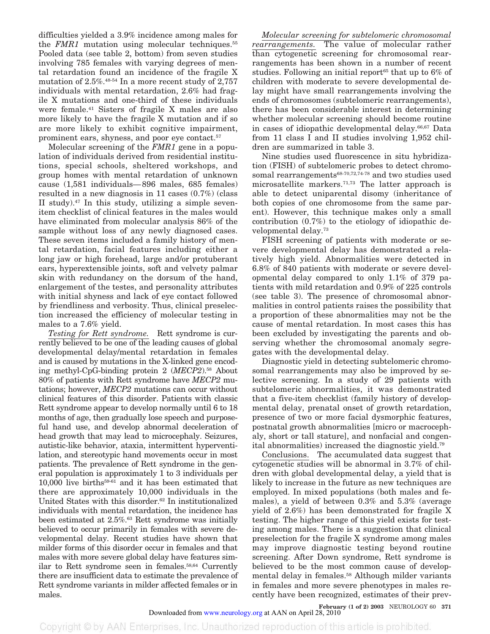difficulties yielded a 3.9% incidence among males for the *FMR1* mutation using molecular techniques.<sup>55</sup> Pooled data (see table 2, bottom) from seven studies involving 785 females with varying degrees of mental retardation found an incidence of the fragile X mutation of 2.5%.48-54 In a more recent study of 2,757 individuals with mental retardation, 2.6% had fragile X mutations and one-third of these individuals were female.41 Sisters of fragile X males are also more likely to have the fragile X mutation and if so are more likely to exhibit cognitive impairment, prominent ears, shyness, and poor eye contact.57

Molecular screening of the *FMR1* gene in a population of individuals derived from residential institutions, special schools, sheltered workshops, and group homes with mental retardation of unknown cause (1,581 individuals— 896 males, 685 females) resulted in a new diagnosis in 11 cases (0.7%) (class II study). $47$  In this study, utilizing a simple sevenitem checklist of clinical features in the males would have eliminated from molecular analysis 86% of the sample without loss of any newly diagnosed cases. These seven items included a family history of mental retardation, facial features including either a long jaw or high forehead, large and/or protuberant ears, hyperextensible joints, soft and velvety palmar skin with redundancy on the dorsum of the hand, enlargement of the testes, and personality attributes with initial shyness and lack of eye contact followed by friendliness and verbosity. Thus, clinical preselection increased the efficiency of molecular testing in males to a 7.6% yield.

*Testing for Rett syndrome.* Rett syndrome is currently believed to be one of the leading causes of global developmental delay/mental retardation in females and is caused by mutations in the X-linked gene encoding methyl-CpG-binding protein 2 (*MECP2*).58 About 80% of patients with Rett syndrome have *MECP2* mutations; however, *MECP2* mutations can occur without clinical features of this disorder. Patients with classic Rett syndrome appear to develop normally until 6 to 18 months of age, then gradually lose speech and purposeful hand use, and develop abnormal deceleration of head growth that may lead to microcephaly. Seizures, autistic-like behavior, ataxia, intermittent hyperventilation, and stereotypic hand movements occur in most patients. The prevalence of Rett syndrome in the general population is approximately 1 to 3 individuals per 10,000 live births59-61 and it has been estimated that there are approximately 10,000 individuals in the United States with this disorder.62 In institutionalized individuals with mental retardation, the incidence has been estimated at 2.5%.63 Rett syndrome was initially believed to occur primarily in females with severe developmental delay. Recent studies have shown that milder forms of this disorder occur in females and that males with more severe global delay have features similar to Rett syndrome seen in females.58,64 Currently there are insufficient data to estimate the prevalence of Rett syndrome variants in milder affected females or in males.

*Molecular screening for subtelomeric chromosomal rearrangements.* The value of molecular rather than cytogenetic screening for chromosomal rearrangements has been shown in a number of recent studies. Following an initial report<sup>65</sup> that up to  $6\%$  of children with moderate to severe developmental delay might have small rearrangements involving the ends of chromosomes (subtelomeric rearrangements), there has been considerable interest in determining whether molecular screening should become routine in cases of idiopathic developmental delay.66,67 Data from 11 class I and II studies involving 1,952 children are summarized in table 3.

Nine studies used fluorescence in situ hybridization (FISH) of subtelomeric probes to detect chromosomal rearrangements<sup>68-70,72,74-78</sup> and two studies used microsatellite markers.71,73 The latter approach is able to detect uniparental disomy (inheritance of both copies of one chromosome from the same parent). However, this technique makes only a small contribution (0.7%) to the etiology of idiopathic developmental delay.73

FISH screening of patients with moderate or severe developmental delay has demonstrated a relatively high yield. Abnormalities were detected in 6.8% of 840 patients with moderate or severe developmental delay compared to only 1.1% of 379 patients with mild retardation and 0.9% of 225 controls (see table 3). The presence of chromosomal abnormalities in control patients raises the possibility that a proportion of these abnormalities may not be the cause of mental retardation. In most cases this has been excluded by investigating the parents and observing whether the chromosomal anomaly segregates with the developmental delay.

Diagnostic yield in detecting subtelomeric chromosomal rearrangements may also be improved by selective screening. In a study of 29 patients with subtelomeric abnormalities, it was demonstrated that a five-item checklist (family history of developmental delay, prenatal onset of growth retardation, presence of two or more facial dysmorphic features, postnatal growth abnormalities [micro or macrocephaly, short or tall stature], and nonfacial and congenital abnormalities) increased the diagnostic yield.79

Conclusions. The accumulated data suggest that cytogenetic studies will be abnormal in 3.7% of children with global developmental delay, a yield that is likely to increase in the future as new techniques are employed. In mixed populations (both males and females), a yield of between 0.3% and 5.3% (average yield of 2.6%) has been demonstrated for fragile X testing. The higher range of this yield exists for testing among males. There is a suggestion that clinical preselection for the fragile X syndrome among males may improve diagnostic testing beyond routine screening. After Down syndrome, Rett syndrome is believed to be the most common cause of developmental delay in females.58 Although milder variants in females and more severe phenotypes in males recently have been recognized, estimates of their prev-

**February (1 of 2) 2003** NEUROLOGY 60 **371** Downloaded from www.neurology.org at AAN on April 28, 2010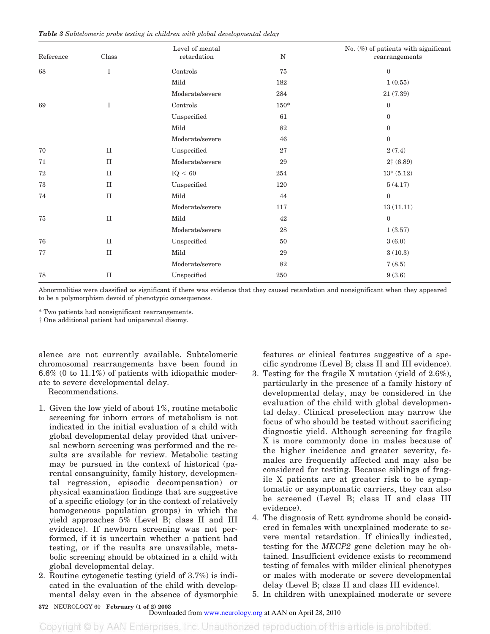*Table 3 Subtelomeric probe testing in children with global developmental delay*

| Reference | Class       | Level of mental<br>retardation | N                  | No. (%) of patients with significant<br>rearrangements |
|-----------|-------------|--------------------------------|--------------------|--------------------------------------------------------|
| 68        | I           | Controls                       | 75                 | $\overline{0}$                                         |
|           |             | Mild                           | 182                | 1(0.55)                                                |
|           |             | Moderate/severe                | 284                | 21(7.39)                                               |
| 69        | I           | Controls                       | $150^{\mathrm{*}}$ | $\boldsymbol{0}$                                       |
|           |             | Unspecified                    | 61                 | $\boldsymbol{0}$                                       |
|           |             | Mild                           | 82                 | $\boldsymbol{0}$                                       |
|           |             | Moderate/severe                | 46                 | $\boldsymbol{0}$                                       |
| 70        | $_{\rm II}$ | Unspecified                    | 27                 | 2(7.4)                                                 |
| 71        | $_{\rm II}$ | Moderate/severe                | 29                 | $2\dagger(6.89)$                                       |
| 72        | $\rm II$    | IQ < 60                        | 254                | $13*(5.12)$                                            |
| 73        | $_{\rm II}$ | Unspecified                    | 120                | 5(4.17)                                                |
| 74        | $\rm II$    | Mild                           | 44                 | $\boldsymbol{0}$                                       |
|           |             | Moderate/severe                | 117                | 13(11.11)                                              |
| 75        | $\rm II$    | Mild                           | 42                 | $\mathbf{0}$                                           |
|           |             | Moderate/severe                | 28                 | 1(3.57)                                                |
| 76        | $\rm II$    | Unspecified                    | 50                 | 3(6.0)                                                 |
| 77        | $\rm II$    | Mild                           | 29                 | 3(10.3)                                                |
|           |             | Moderate/severe                | 82                 | 7(8.5)                                                 |
| 78        | $\rm II$    | Unspecified                    | 250                | 9(3.6)                                                 |

Abnormalities were classified as significant if there was evidence that they caused retardation and nonsignificant when they appeared to be a polymorphism devoid of phenotypic consequences.

\* Two patients had nonsignificant rearrangements.

† One additional patient had uniparental disomy.

alence are not currently available. Subtelomeric chromosomal rearrangements have been found in 6.6% (0 to 11.1%) of patients with idiopathic moderate to severe developmental delay.

Recommendations.

- 1. Given the low yield of about 1%, routine metabolic screening for inborn errors of metabolism is not indicated in the initial evaluation of a child with global developmental delay provided that universal newborn screening was performed and the results are available for review. Metabolic testing may be pursued in the context of historical (parental consanguinity, family history, developmental regression, episodic decompensation) or physical examination findings that are suggestive of a specific etiology (or in the context of relatively homogeneous population groups) in which the yield approaches 5% (Level B; class II and III evidence). If newborn screening was not performed, if it is uncertain whether a patient had testing, or if the results are unavailable, metabolic screening should be obtained in a child with global developmental delay.
- 2. Routine cytogenetic testing (yield of 3.7%) is indicated in the evaluation of the child with developmental delay even in the absence of dysmorphic

features or clinical features suggestive of a specific syndrome (Level B; class II and III evidence).

- 3. Testing for the fragile X mutation (yield of 2.6%), particularly in the presence of a family history of developmental delay, may be considered in the evaluation of the child with global developmental delay. Clinical preselection may narrow the focus of who should be tested without sacrificing diagnostic yield. Although screening for fragile X is more commonly done in males because of the higher incidence and greater severity, females are frequently affected and may also be considered for testing. Because siblings of fragile X patients are at greater risk to be symptomatic or asymptomatic carriers, they can also be screened (Level B; class II and class III evidence).
- 4. The diagnosis of Rett syndrome should be considered in females with unexplained moderate to severe mental retardation. If clinically indicated, testing for the *MECP2* gene deletion may be obtained. Insufficient evidence exists to recommend testing of females with milder clinical phenotypes or males with moderate or severe developmental delay (Level B; class II and class III evidence).
- 5. In children with unexplained moderate or severe

**372** NEUROLOGY 60 **February (1 of 2) 2003**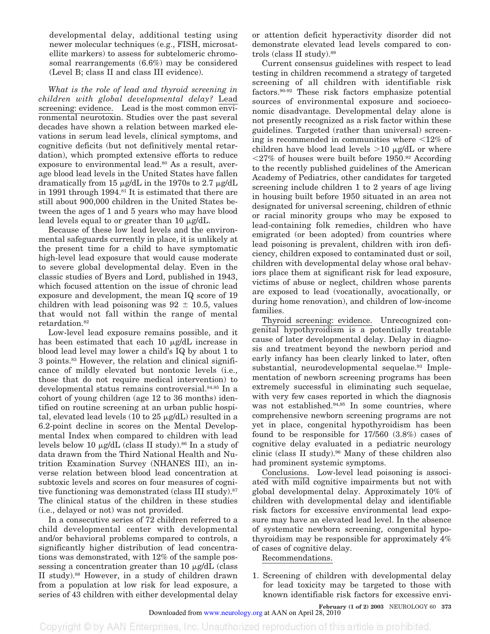developmental delay, additional testing using newer molecular techniques (e.g., FISH, microsatellite markers) to assess for subtelomeric chromosomal rearrangements (6.6%) may be considered (Level B; class II and class III evidence).

*What is the role of lead and thyroid screening in children with global developmental delay?* Lead screening: evidence. Lead is the most common environmental neurotoxin. Studies over the past several decades have shown a relation between marked elevations in serum lead levels, clinical symptoms, and cognitive deficits (but not definitively mental retardation), which prompted extensive efforts to reduce exposure to environmental lead.<sup>80</sup> As a result, average blood lead levels in the United States have fallen dramatically from 15  $\mu$ g/dL in the 1970s to 2.7  $\mu$ g/dL in 1991 through 1994.81 It is estimated that there are still about 900,000 children in the United States between the ages of 1 and 5 years who may have blood lead levels equal to or greater than  $10 \mu g/dL$ .

Because of these low lead levels and the environmental safeguards currently in place, it is unlikely at the present time for a child to have symptomatic high-level lead exposure that would cause moderate to severe global developmental delay. Even in the classic studies of Byers and Lord, published in 1943, which focused attention on the issue of chronic lead exposure and development, the mean IQ score of 19 children with lead poisoning was  $92 \pm 10.5$ , values that would not fall within the range of mental retardation.82

Low-level lead exposure remains possible, and it has been estimated that each 10  $\mu$ g/dL increase in blood lead level may lower a child's IQ by about 1 to 3 points.83 However, the relation and clinical significance of mildly elevated but nontoxic levels (i.e., those that do not require medical intervention) to developmental status remains controversial.84,85 In a cohort of young children (age 12 to 36 months) identified on routine screening at an urban public hospital, elevated lead levels (10 to  $25 \mu g/dL$ ) resulted in a 6.2-point decline in scores on the Mental Developmental Index when compared to children with lead levels below 10 µg/dL (class II study).<sup>86</sup> In a study of data drawn from the Third National Health and Nutrition Examination Survey (NHANES III), an inverse relation between blood lead concentration at subtoxic levels and scores on four measures of cognitive functioning was demonstrated (class III study).<sup>87</sup> The clinical status of the children in these studies (i.e., delayed or not) was not provided.

In a consecutive series of 72 children referred to a child developmental center with developmental and/or behavioral problems compared to controls, a significantly higher distribution of lead concentrations was demonstrated, with 12% of the sample possessing a concentration greater than 10  $\mu$ g/dL (class II study).88 However, in a study of children drawn from a population at low risk for lead exposure, a series of 43 children with either developmental delay

or attention deficit hyperactivity disorder did not demonstrate elevated lead levels compared to controls (class II study).89

Current consensus guidelines with respect to lead testing in children recommend a strategy of targeted screening of all children with identifiable risk factors.90-92 These risk factors emphasize potential sources of environmental exposure and socioeconomic disadvantage. Developmental delay alone is not presently recognized as a risk factor within these guidelines. Targeted (rather than universal) screening is recommended in communities where  $\leq$ 12% of children have blood lead levels  $>10 \mu g/dL$  or where  $\langle 27\%$  of houses were built before 1950.<sup>92</sup> According to the recently published guidelines of the American Academy of Pediatrics, other candidates for targeted screening include children 1 to 2 years of age living in housing built before 1950 situated in an area not designated for universal screening, children of ethnic or racial minority groups who may be exposed to lead-containing folk remedies, children who have emigrated (or been adopted) from countries where lead poisoning is prevalent, children with iron deficiency, children exposed to contaminated dust or soil, children with developmental delay whose oral behaviors place them at significant risk for lead exposure, victims of abuse or neglect, children whose parents are exposed to lead (vocationally, avocationally, or during home renovation), and children of low-income families.

Thyroid screening: evidence. Unrecognized congenital hypothyroidism is a potentially treatable cause of later developmental delay. Delay in diagnosis and treatment beyond the newborn period and early infancy has been clearly linked to later, often substantial, neurodevelopmental sequelae.<sup>93</sup> Implementation of newborn screening programs has been extremely successful in eliminating such sequelae, with very few cases reported in which the diagnosis was not established.94,95 In some countries, where comprehensive newborn screening programs are not yet in place, congenital hypothyroidism has been found to be responsible for 17/560 (3.8%) cases of cognitive delay evaluated in a pediatric neurology clinic (class II study).96 Many of these children also had prominent systemic symptoms.

Conclusions. Low-level lead poisoning is associated with mild cognitive impairments but not with global developmental delay. Approximately 10% of children with developmental delay and identifiable risk factors for excessive environmental lead exposure may have an elevated lead level. In the absence of systematic newborn screening, congenital hypothyroidism may be responsible for approximately 4% of cases of cognitive delay.

Recommendations.

1. Screening of children with developmental delay for lead toxicity may be targeted to those with known identifiable risk factors for excessive envi-

**February (1 of 2) 2003** NEUROLOGY 60 **373**

Downloaded from www.neurology.org at AAN on April 28, 2010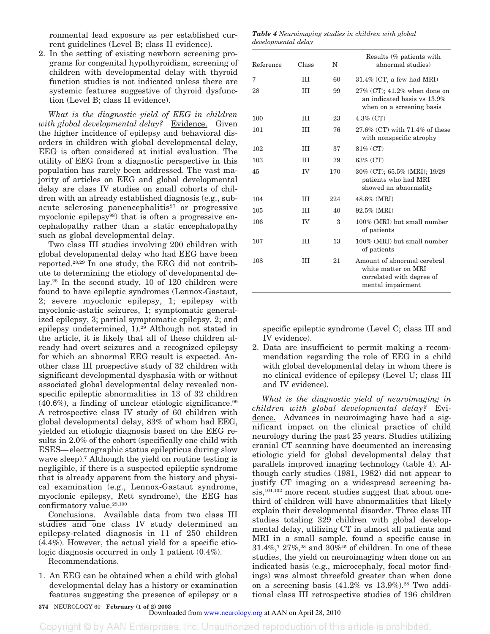ronmental lead exposure as per established current guidelines (Level B; class II evidence).

2. In the setting of existing newborn screening programs for congenital hypothyroidism, screening of children with developmental delay with thyroid function studies is not indicated unless there are systemic features suggestive of thyroid dysfunction (Level B; class II evidence).

*What is the diagnostic yield of EEG in children with global developmental delay?* Evidence. Given the higher incidence of epilepsy and behavioral disorders in children with global developmental delay, EEG is often considered at initial evaluation. The utility of EEG from a diagnostic perspective in this population has rarely been addressed. The vast majority of articles on EEG and global developmental delay are class IV studies on small cohorts of children with an already established diagnosis (e.g., subacute sclerosing panencephalitis<sup>97</sup> or progressive myoclonic epilepsy<sup>98</sup>) that is often a progressive encephalopathy rather than a static encephalopathy such as global developmental delay.

Two class III studies involving 200 children with global developmental delay who had EEG have been reported.28,29 In one study, the EEG did not contribute to determining the etiology of developmental delay.28 In the second study, 10 of 120 children were found to have epileptic syndromes (Lennox-Gastaut, 2; severe myoclonic epilepsy, 1; epilepsy with myoclonic-astatic seizures, 1; symptomatic generalized epilepsy, 3; partial symptomatic epilepsy, 2; and epilepsy undetermined, 1).29 Although not stated in the article, it is likely that all of these children already had overt seizures and a recognized epilepsy for which an abnormal EEG result is expected. Another class III prospective study of 32 children with significant developmental dysphasia with or without associated global developmental delay revealed nonspecific epileptic abnormalities in 13 of 32 children  $(40.6\%)$ , a finding of unclear etiologic significance.<sup>99</sup> A retrospective class IV study of 60 children with global developmental delay, 83% of whom had EEG, yielded an etiologic diagnosis based on the EEG results in 2.0% of the cohort (specifically one child with ESES— electrographic status epilepticus during slow wave sleep).<sup>7</sup> Although the yield on routine testing is negligible, if there is a suspected epileptic syndrome that is already apparent from the history and physical examination (e.g., Lennox-Gastaut syndrome, myoclonic epilepsy, Rett syndrome), the EEG has confirmatory value.<sup>29,100</sup>

Conclusions. Available data from two class III studies and one class IV study determined an epilepsy-related diagnosis in 11 of 250 children (4.4%). However, the actual yield for a specific etiologic diagnosis occurred in only 1 patient (0.4%).

Recommendations.

1. An EEG can be obtained when a child with global developmental delay has a history or examination features suggesting the presence of epilepsy or a

*Table 4 Neuroimaging studies in children with global developmental delay*

| Reference | Class | N   | Results (% patients with<br>abnormal studies)                                                        |
|-----------|-------|-----|------------------------------------------------------------------------------------------------------|
| 7         | Ш     | 60  | $31.4\%$ (CT, a few had MRI)                                                                         |
| 28        | Ш     | 99  | $27\%$ (CT); $41.2\%$ when done on<br>an indicated basis vs 13.9%<br>when on a screening basis       |
| 100       | Ħ     | 23  | $4.3\%$ (CT)                                                                                         |
| 101       | Ш     | 76  | $27.6\%$ (CT) with $71.4\%$ of these<br>with nonspecific atrophy                                     |
| 102       | Ш     | 37  | 81% (CT)                                                                                             |
| 103       | Ш     | 79  | 63% (CT)                                                                                             |
| 45        | IV    | 170 | 30% (CT); 65.5% (MRI); 19/29<br>patients who had MRI<br>showed an abnormality                        |
| 104       | Ш     | 224 | 48.6% (MRI)                                                                                          |
| 105       | Ш     | 40  | 92.5% (MRI)                                                                                          |
| 106       | IV    | 3   | 100% (MRI) but small number<br>of patients                                                           |
| 107       | Ш     | 13  | 100% (MRI) but small number<br>of patients                                                           |
| 108       | Ш     | 21  | Amount of abnormal cerebral<br>white matter on MRI<br>correlated with degree of<br>mental impairment |

specific epileptic syndrome (Level C; class III and IV evidence).

2. Data are insufficient to permit making a recommendation regarding the role of EEG in a child with global developmental delay in whom there is no clinical evidence of epilepsy (Level U; class III and IV evidence).

*What is the diagnostic yield of neuroimaging in children with global developmental delay?* Evidence. Advances in neuroimaging have had a significant impact on the clinical practice of child neurology during the past 25 years. Studies utilizing cranial CT scanning have documented an increasing etiologic yield for global developmental delay that parallels improved imaging technology (table 4). Although early studies (1981, 1982) did not appear to justify CT imaging on a widespread screening basis,<sup>101,102</sup> more recent studies suggest that about onethird of children will have abnormalities that likely explain their developmental disorder. Three class III studies totaling 329 children with global developmental delay, utilizing CT in almost all patients and MRI in a small sample, found a specific cause in  $31.4\%, 727\%,$ <sup>28</sup> and  $30\%$ <sup>45</sup> of children. In one of these studies, the yield on neuroimaging when done on an indicated basis (e.g., microcephaly, focal motor findings) was almost threefold greater than when done on a screening basis  $(41.2\% \text{ vs } 13.9\%).$ <sup>28</sup> Two additional class III retrospective studies of 196 children

**374** NEUROLOGY 60 **February (1 of 2) 2003**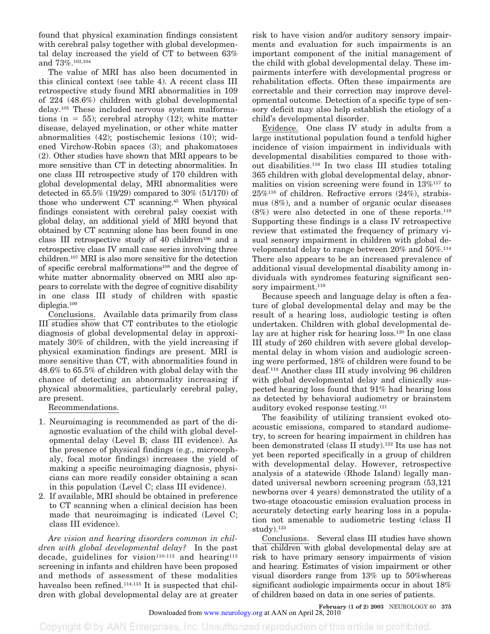found that physical examination findings consistent with cerebral palsy together with global developmental delay increased the yield of CT to between 63% and 73%.103,104

The value of MRI has also been documented in this clinical context (see table 4). A recent class III retrospective study found MRI abnormalities in 109 of 224 (48.6%) children with global developmental delay.105 These included nervous system malformations ( $n = 55$ ); cerebral atrophy (12); white matter disease, delayed myelination, or other white matter abnormalities (42); postischemic lesions (10); widened Virchow-Robin spaces (3); and phakomatoses (2). Other studies have shown that MRI appears to be more sensitive than CT in detecting abnormalities. In one class III retrospective study of 170 children with global developmental delay, MRI abnormalities were detected in 65.5% (19/29) compared to 30% (51/170) of those who underwent CT scanning.45 When physical findings consistent with cerebral palsy coexist with global delay, an additional yield of MRI beyond that obtained by CT scanning alone has been found in one class III retrospective study of 40 children<sup>106</sup> and a retrospective class IV small case series involving three children.107 MRI is also more sensitive for the detection of specific cerebral malformations108 and the degree of white matter abnormality observed on MRI also appears to correlate with the degree of cognitive disability in one class III study of children with spastic diplegia.109

Conclusions. Available data primarily from class III studies show that CT contributes to the etiologic diagnosis of global developmental delay in approximately 30% of children, with the yield increasing if physical examination findings are present. MRI is more sensitive than CT, with abnormalities found in 48.6% to 65.5% of children with global delay with the chance of detecting an abnormality increasing if physical abnormalities, particularly cerebral palsy, are present.

Recommendations.

- 1. Neuroimaging is recommended as part of the diagnostic evaluation of the child with global developmental delay (Level B; class III evidence). As the presence of physical findings (e.g., microcephaly, focal motor findings) increases the yield of making a specific neuroimaging diagnosis, physicians can more readily consider obtaining a scan in this population (Level C; class III evidence).
- 2. If available, MRI should be obtained in preference to CT scanning when a clinical decision has been made that neuroimaging is indicated (Level C; class III evidence).

*Are vision and hearing disorders common in children with global developmental delay?* In the past decade, guidelines for vision $110-112$  and hearing $113$ screening in infants and children have been proposed and methods of assessment of these modalities havealso been refined.<sup>114,115</sup> It is suspected that children with global developmental delay are at greater

risk to have vision and/or auditory sensory impairments and evaluation for such impairments is an important component of the initial management of the child with global developmental delay. These impairments interfere with developmental progress or rehabilitation effects. Often these impairments are correctable and their correction may improve developmental outcome. Detection of a specific type of sensory deficit may also help establish the etiology of a child's developmental disorder.

Evidence. One class IV study in adults from a large institutional population found a tenfold higher incidence of vision impairment in individuals with developmental disabilities compared to those without disabilities.116 In two class III studies totaling 365 children with global developmental delay, abnormalities on vision screening were found in  $13\%$ <sup>117</sup> to  $25\%$ <sup>118</sup> of children. Refractive errors  $(24\%)$ , strabismus (8%), and a number of organic ocular diseases  $(8\%)$  were also detected in one of these reports.<sup>118</sup> Supporting these findings is a class IV retrospective review that estimated the frequency of primary visual sensory impairment in children with global developmental delay to range between 20% and 50%.114 There also appears to be an increased prevalence of additional visual developmental disability among individuals with syndromes featuring significant sensory impairment.<sup>119</sup>

Because speech and language delay is often a feature of global developmental delay and may be the result of a hearing loss, audiologic testing is often undertaken. Children with global developmental delay are at higher risk for hearing loss.120 In one class III study of 260 children with severe global developmental delay in whom vision and audiologic screening were performed, 18% of children were found to be deaf.118 Another class III study involving 96 children with global developmental delay and clinically suspected hearing loss found that 91% had hearing loss as detected by behavioral audiometry or brainstem auditory evoked response testing.121

The feasibility of utilizing transient evoked otoacoustic emissions, compared to standard audiometry, to screen for hearing impairment in children has been demonstrated (class II study).122 Its use has not yet been reported specifically in a group of children with developmental delay. However, retrospective analysis of a statewide (Rhode Island) legally mandated universal newborn screening program (53,121 newborns over 4 years) demonstrated the utility of a two-stage otoacoustic emission evaluation process in accurately detecting early hearing loss in a population not amenable to audiometric testing (class II study).<sup>123</sup>

Conclusions. Several class III studies have shown that children with global developmental delay are at risk to have primary sensory impairments of vision and hearing. Estimates of vision impairment or other visual disorders range from 13% up to 50%whereas significant audiologic impairments occur in about 18% of children based on data in one series of patients.

**February (1 of 2) 2003** NEUROLOGY 60 **375**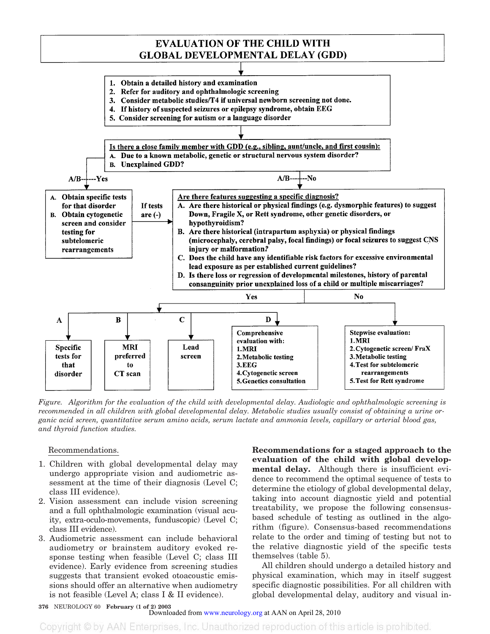

*Figure. Algorithm for the evaluation of the child with developmental delay. Audiologic and ophthalmologic screening is recommended in all children with global developmental delay. Metabolic studies usually consist of obtaining a urine organic acid screen, quantitative serum amino acids, serum lactate and ammonia levels, capillary or arterial blood gas, and thyroid function studies.*

#### Recommendations.

- 1. Children with global developmental delay may undergo appropriate vision and audiometric assessment at the time of their diagnosis (Level C; class III evidence).
- 2. Vision assessment can include vision screening and a full ophthalmologic examination (visual acuity, extra-oculo-movements, funduscopic) (Level C; class III evidence).
- 3. Audiometric assessment can include behavioral audiometry or brainstem auditory evoked response testing when feasible (Level C; class III evidence). Early evidence from screening studies suggests that transient evoked otoacoustic emissions should offer an alternative when audiometry is not feasible (Level A; class I & II evidence).

**Recommendations for a staged approach to the evaluation of the child with global develop**mental delay. Although there is insufficient evidence to recommend the optimal sequence of tests to determine the etiology of global developmental delay, taking into account diagnostic yield and potential treatability, we propose the following consensusbased schedule of testing as outlined in the algorithm (figure). Consensus-based recommendations relate to the order and timing of testing but not to the relative diagnostic yield of the specific tests themselves (table 5).

All children should undergo a detailed history and physical examination, which may in itself suggest specific diagnostic possibilities. For all children with global developmental delay, auditory and visual in-

**376** NEUROLOGY 60 **February (1 of 2) 2003**

Downloaded from www.neurology.org at AAN on April 28, 2010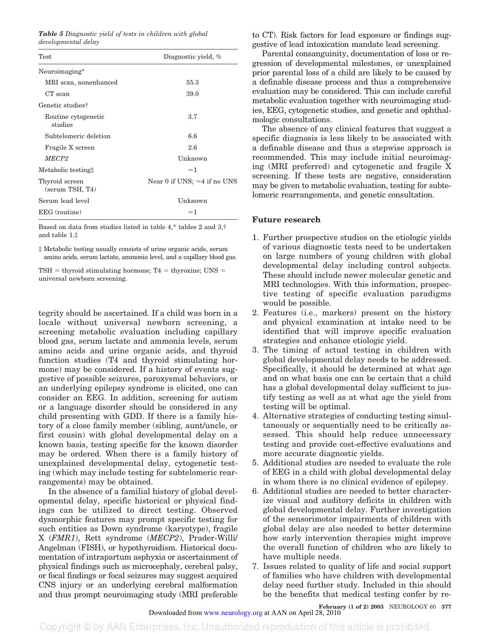*Table 5 Diagnostic yield of tests in children with global developmental delay*

| Test                              | Diagnostic yield, %                  |
|-----------------------------------|--------------------------------------|
| Neuroimaging*                     |                                      |
| MRI scan, nonenhanced             | 55.3                                 |
| CT scan                           | 39.0                                 |
| Genetic studies <sup>†</sup>      |                                      |
| Routine cytogenetic<br>studies    | 3.7                                  |
| Subtelomeric deletion             | 6.6                                  |
| Fragile X screen                  | 2.6                                  |
| MECP <sub>2</sub>                 | Unknown                              |
| Metabolic testing:                | $\approx$ 1                          |
| Thyroid screen<br>(serum TSH, T4) | Near 0 if UNS; $\approx$ 4 if no UNS |
| Serum lead level                  | Unknown                              |
| EEG (routine)                     | $\approx$ 1                          |
|                                   |                                      |

Based on data from studies listed in table 4,\* tables 2 and 3,† and table 1.‡

‡ Metabolic testing usually consists of urine organic acids, serum amino acids, serum lactate, ammonia level, and a capillary blood gas.

 $TSH =$  thyroid stimulating hormone;  $T4 =$  thyroxine; UNS = universal newborn screening.

tegrity should be ascertained. If a child was born in a locale without universal newborn screening, a screening metabolic evaluation including capillary blood gas, serum lactate and ammonia levels, serum amino acids and urine organic acids, and thyroid function studies (T4 and thyroid stimulating hormone) may be considered. If a history of events suggestive of possible seizures, paroxysmal behaviors, or an underlying epilepsy syndrome is elicited, one can consider an EEG. In addition, screening for autism or a language disorder should be considered in any child presenting with GDD. If there is a family history of a close family member (sibling, aunt/uncle, or first cousin) with global developmental delay on a known basis, testing specific for the known disorder may be ordered. When there is a family history of unexplained developmental delay, cytogenetic testing (which may include testing for subtelomeric rearrangements) may be obtained.

In the absence of a familial history of global developmental delay, specific historical or physical findings can be utilized to direct testing. Observed dysmorphic features may prompt specific testing for such entities as Down syndrome (karyotype), fragile X (*FMR1*), Rett syndrome (*MECP2*), Prader-Willi/ Angelman (FISH), or hypothyroidism. Historical documentation of intrapartum asphyxia or ascertainment of physical findings such as microcephaly, cerebral palsy, or focal findings or focal seizures may suggest acquired CNS injury or an underlying cerebral malformation and thus prompt neuroimaging study (MRI preferable

to CT). Risk factors for lead exposure or findings suggestive of lead intoxication mandate lead screening.

Parental consanguinity, documentation of loss or regression of developmental milestones, or unexplained prior parental loss of a child are likely to be caused by a definable disease process and thus a comprehensive evaluation may be considered. This can include careful metabolic evaluation together with neuroimaging studies, EEG, cytogenetic studies, and genetic and ophthalmologic consultations.

The absence of any clinical features that suggest a specific diagnosis is less likely to be associated with a definable disease and thus a stepwise approach is recommended. This may include initial neuroimaging (MRI preferred) and cytogenetic and fragile X screening. If these tests are negative, consideration may be given to metabolic evaluation, testing for subtelomeric rearrangements, and genetic consultation.

### **Future research**

- 1. Further prospective studies on the etiologic yields of various diagnostic tests need to be undertaken on large numbers of young children with global developmental delay including control subjects. These should include newer molecular genetic and MRI technologies. With this information, prospective testing of specific evaluation paradigms would be possible.
- 2. Features (i.e., markers) present on the history and physical examination at intake need to be identified that will improve specific evaluation strategies and enhance etiologic yield.
- 3. The timing of actual testing in children with global developmental delay needs to be addressed. Specifically, it should be determined at what age and on what basis one can be certain that a child has a global developmental delay sufficient to justify testing as well as at what age the yield from testing will be optimal.
- 4. Alternative strategies of conducting testing simultaneously or sequentially need to be critically assessed. This should help reduce unnecessary testing and provide cost-effective evaluations and more accurate diagnostic yields.
- 5. Additional studies are needed to evaluate the role of EEG in a child with global developmental delay in whom there is no clinical evidence of epilepsy.
- 6. Additional studies are needed to better characterize visual and auditory deficits in children with global developmental delay. Further investigation of the sensorimotor impairments of children with global delay are also needed to better determine how early intervention therapies might improve the overall function of children who are likely to have multiple needs.
- 7. Issues related to quality of life and social support of families who have children with developmental delay need further study. Included in this should be the benefits that medical testing confer by re-

**February (1 of 2) 2003** NEUROLOGY 60 **377**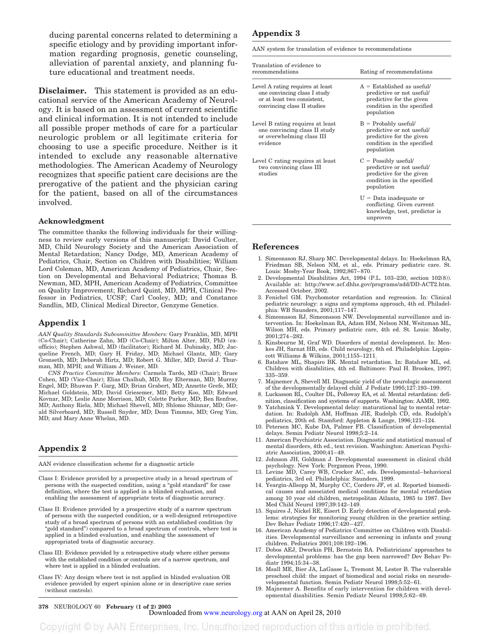ducing parental concerns related to determining a specific etiology and by providing important information regarding prognosis, genetic counseling, alleviation of parental anxiety, and planning future educational and treatment needs.

**Disclaimer.** This statement is provided as an educational service of the American Academy of Neurology. It is based on an assessment of current scientific and clinical information. It is not intended to include all possible proper methods of care for a particular neurologic problem or all legitimate criteria for choosing to use a specific procedure. Neither is it intended to exclude any reasonable alternative methodologies. The American Academy of Neurology recognizes that specific patient care decisions are the prerogative of the patient and the physician caring for the patient, based on all of the circumstances involved.

#### **Acknowledgment**

The committee thanks the following individuals for their willingness to review early versions of this manuscript: David Coulter, MD, Child Neurology Society and the American Association of Mental Retardation; Nancy Dodge, MD, American Academy of Pediatrics, Chair, Section on Children with Disabilities; William Lord Coleman, MD, American Academy of Pediatrics, Chair, Section on Developmental and Behavioral Pediatrics; Thomas B. Newman, MD, MPH, American Academy of Pediatrics, Committee on Quality Improvement; Richard Quint, MD, MPH, Clinical Professor in Pediatrics, UCSF; Carl Cooley, MD; and Constance Sandlin, MD, Clinical Medical Director, Genzyme Genetics.

#### **Appendix 1**

*AAN Quality Standards Subcommittee Members:* Gary Franklin, MD, MPH (Co-Chair); Catherine Zahn, MD (Co-Chair); Milton Alter, MD, PhD (exofficio); Stephen Ashwal, MD (facilitator); Richard M. Dubinsky, MD; Jacqueline French, MD; Gary H. Friday, MD; Michael Glantz, MD; Gary Gronseth, MD; Deborah Hirtz, MD; Robert G. Miller, MD; David J. Thurman, MD, MPH; and William J. Weiner, MD.

*CNS Practice Committee Members:* Carmela Tardo, MD (Chair); Bruce Cohen, MD (Vice-Chair); Elias Chalhub, MD; Roy Elterman, MD; Murray Engel, MD; Bhuwan P. Garg, MD; Brian Grabert, MD; Annette Grefe, MD; Michael Goldstein, MD; David Griesemer, MD; Betty Koo, MD; Edward Kovnar, MD; Leslie Anne Morrison, MD; Colette Parker, MD; Ben Renfroe, MD; Anthony Riela, MD; Michael Shevell, MD; Shlomo Shinnar, MD; Gerald Silverboard, MD; Russell Snyder, MD; Dean Timmns, MD; Greg Yim, MD; and Mary Anne Whelan, MD.

#### **Appendix 2**

AAN evidence classification scheme for a diagnostic article

- Class I: Evidence provided by a prospective study in a broad spectrum of persons with the suspected condition, using a "gold standard" for case definition, where the test is applied in a blinded evaluation, and enabling the assessment of appropriate tests of diagnostic accuracy.
- Class II: Evidence provided by a prospective study of a narrow spectrum of persons with the suspected condition, or a well-designed retrospective study of a broad spectrum of persons with an established condition (by "gold standard") compared to a broad spectrum of controls, where test is applied in a blinded evaluation, and enabling the assessment of appropriated tests of diagnostic accuracy.
- Class III: Evidence provided by a retrospective study where either persons with the established condition or controls are of a narrow spectrum, and where test is applied in a blinded evaluation.
- Class IV: Any design where test is not applied in blinded evaluation OR evidence provided by expert opinion alone or in descriptive case series (without controls).

#### **Appendix 3**

AAN system for translation of evidence to recommendations

| Translation of evidence to<br>recommendations                                                                                  | Rating of recommendations                                                                                                         |
|--------------------------------------------------------------------------------------------------------------------------------|-----------------------------------------------------------------------------------------------------------------------------------|
| Level A rating requires at least<br>one convincing class I study<br>or at least two consistent,<br>convincing class II studies | $A =$ Established as useful/<br>predictive or not useful/<br>predictive for the given<br>condition in the specified<br>population |
| Level B rating requires at least<br>one convincing class II study<br>or overwhelming class III<br>evidence                     | $B =$ Probably useful/<br>predictive or not useful/<br>predictive for the given<br>condition in the specified<br>population       |
| Level C rating requires at least<br>two convincing class III<br>studies                                                        | $C =$ Possibly useful/<br>predictive or not useful/<br>predictive for the given<br>condition in the specified<br>population       |
|                                                                                                                                | $U = Data$ inadequate or<br>conflicting. Given current<br>knowledge, test, predictor is<br>unproven                               |

#### **References**

- 1. Simeonsson RJ, Sharp MC. Developmental delays. In: Hoekelman RA, Friedman SB, Nelson NM, et al., eds. Primary pediatric care. St. Louis: Mosby-Year Book, 1992;867– 870.
- 2. Developmental Disabilities Act, 1994 (P.L. 103–230, section 102(8)). Available at: http://www.acf.dhhs.gov/programs/add/DD-ACT2.htm. Accessed October, 2002.
- 3. Fenichel GM. Psychomotor retardation and regression. In: Clinical pediatric neurology: a signs and symptoms approach, 4th ed. Philadelphia: WB Saunders, 2001;117–147.
- 4. Simeonsson RJ, Simeonsson NW. Developmental surveillance and intervention. In: Hoekelman RA, Adam HM, Nelson NM, Weitzman ML, Wilson MH, eds. Primary pediatric care, 4th ed. St. Louis: Mosby, 2001;274 –282.
- 5. Kinsbourne M, Graf WD. Disorders of mental development. In: Menkes JH, Sarnat HB, eds. Child neurology, 6th ed. Philadelphia: Lippincott Williams & Wilkins, 2001;1155–1211.
- 6. Batshaw ML, Shapiro BK. Mental retardation. In: Batshaw ML, ed. Children with disabilities, 4th ed. Baltimore: Paul H. Brookes, 1997; 335–359.
- 7. Majnemer A, Shevell MI. Diagnostic yield of the neurologic assessment of the developmentally delayed child. J Pediatr 1995;127:193–199.
- 8. Luckasson RL, Coulter DL, Polloway EA, et al. Mental retardation: definition, classification and systems of supports. Washington: AAMR, 1992.
- 9. Yatchmink Y. Developmental delay: maturational lag to mental retardation. In: Rudolph AM, Hoffman JIE, Rudolph CD, eds. Rudolph's pediatrics, 20th ed. Stamford: Appleton & Lange, 1996;121–124.
- 10. Petersen MC, Kube DA, Palmer FB. Classification of developmental delays. Semin Pediatr Neurol 1998;5:2–14.
- 11. American Psychiatric Association. Diagnostic and statistical manual of mental disorders, 4th ed., text revision. Washington: American Psychiatric Association, 2000;41– 49.
- 12. Johnson JH, Goldman J. Developmental assessment in clinical child psychology. New York: Pergamon Press, 1990.
- 13. Levine MD, Carey WB, Crocker AC, eds. Developmental– behavioral pediatrics, 3rd ed. Philadelphia: Saunders, 1999.
- 14. Yeargin-Allsopp M, Murphy CC, Cordero JF, et al. Reported biomedical causes and associated medical conditions for mental retardation among 10 year old children, metropolitan Atlanta, 1985 to 1987. Dev Med Child Neurol 1997;39:142–149.
- 15. Squires J, Nickel RE, Eisert D. Early detection of developmental problems: strategies for monitoring young children in the practice setting. Dev Behav Pediatr 1996;17:420 – 427.
- 16. American Academy of Pediatrics Committee on Children with Disabilities. Developmental surveillance and screening in infants and young children. Pediatrics 2001;108:192–196.
- 17. Dobos AEJ, Dworkin PH, Bernstein BA. Pediatricians' approaches to developmental problems: has the gap been narrowed? Dev Behav Pediatr 1994;15:34 –38.
- 18. Msall ME, Bier JA, LaGasse L, Tremont M, Lester B. The vulnerable preschool child: the impact of biomedical and social risks on neurodevelopmental function. Semin Pediatr Neurol 1998;5:52-61.
- 19. Majnemer A. Benefits of early intervention for children with developmental disabilities. Semin Pediatr Neurol 1998;5:62– 69.

#### **378** NEUROLOGY 60 **February (1 of 2) 2003**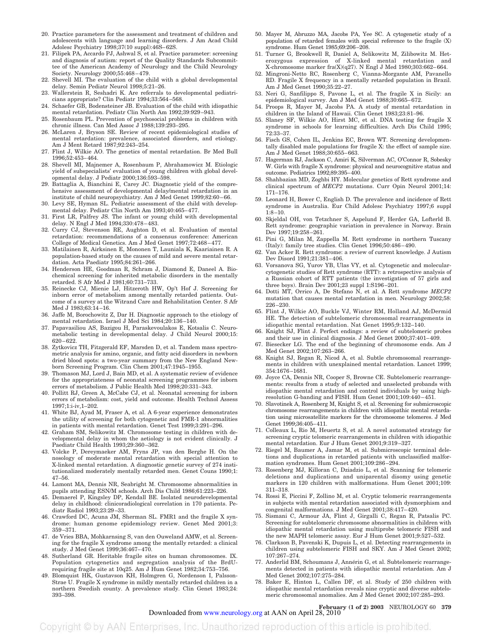- 20. Practice parameters for the assessment and treatment of children and adolescents with language and learning disorders. J Am Acad Child Adolesc Psychiatry 1998;37(10 suppl):46S– 62S.
- 21. Filipek PA, Accardo PJ, Ashwal S, et al. Practice parameter: screening and diagnosis of autism: report of the Quality Standards Subcommittee of the American Academy of Neurology and the Child Neurology Society. Neurology 2000;55:468 – 479.
- 22. Shevell MI. The evaluation of the child with a global developmental delay. Semin Pediatr Neurol 1998;5:21–26.
- 23. Wallerstein R, Seshadri K. Are referrals to developmental pediatricians appropriate? Clin Pediatr 1994;33:564 –568.
- 24. Schaefer GB, Bodensteiner JB. Evaluation of the child with idiopathic mental retardation. Pediatr Clin North Am 1992;39:929 –943.
- 25. Rosenbaum PL. Prevention of psychosocial problems in children with chronic illness. Can Med Assoc J 1988;139:293–295.
- 26. McLaren J, Bryson SE. Review of recent epidemiological studies of mental retardation: prevalence, associated disorders, and etiology. Am J Ment Retard 1987;92:243–254.
- 27. Flint J, Wilkie AO. The genetics of mental retardation. Br Med Bull 1996;52:453– 464.
- 28. Shevell MI, Majnemer A, Rosenbaum P, Abrahamowicz M. Etiologic yield of subspecialists' evaluation of young children with global developmental delay. J Pediatr 2000;136:593–598.
- 29. Battaglia A, Bianchini E, Carey JC. Diagnostic yield of the comprehensive assessment of developmental delay/mental retardation in an institute of child neuropsychiatry. Am J Med Genet 1999;82:60 – 66.
- 30. Levy SE, Hyman SL. Pediatric assessment of the child with developmental delay. Pediatr Clin North Am 1993;40:465– 477.
- 31. First LR, Palfrey JS. The infant or young child with developmental delay. N Engl J Med 1994;330:478 – 483.
- 32. Curry CJ, Stevenson RE, Aughton D, et al. Evaluation of mental retardation: recommendations of a consensus conference: American College of Medical Genetics. Am J Med Genet 1997;72:468 – 477.
- 33. Matilainen R, Airksinen E, Mononen T, Launiala K, Kaariainen R. A population-based study on the causes of mild and severe mental retardation. Acta Paediatr 1995;84:261–266.
- 34. Henderson HE, Goodman R, Schram J, Diamond E, Daneel A. Biochemical screening for inherited metabolic disorders in the mentally retarded. S Afr Med J 1981;60:731–733.
- 35. Reinecke CJ, Mienie LJ, Hitzeroth HW, Op't Hof J. Screening for inborn error of metabolism among mentally retarded patients. Outcome of a survey at the Witrand Care and Rehabilitation Center. S Afr Med J 1983;63:14 –16.
- 36. Jaffe M, Borochowitz Z, Dar H. Diagnostic approach to the etiology of mental retardation. Israel J Med Sci 1984;20:136 –140.
- 37. Papavasiliou AS, Bazigou H, Paraskevoulakos E, Kotsalis C. Neurometabolic testing in developmental delay. J Child Neurol 2000;15: 620 – 622.
- 38. Zytkovicz TH, Fitzgerald EF, Marsden D, et al. Tandem mass spectrometric analysis for amino, organic, and fatty acid disorders in newborn dried blood spots: a two-year summary from the New England Newborn Screening Program. Clin Chem 2001;47:1945–1955.
- 39. Thomason MJ, Lord J, Bain MD, et al. A systematic review of evidence for the appropriateness of neonatal screening programmes for inborn errors of metabolism. J Public Health Med 1998;20:331–343.
- 40. Pollitt RJ, Green A, McCabe CJ, et al. Neonatal screening for inborn errors of metabolism: cost, yield and outcome. Health Technol Assess 1997;1:i-iv,1–202.
- 41. White BJ, Ayad M, Fraser A, et al. A 6-year experience demonstrates the utility of screening for both cytogenetic and FMR-1 abnormalities in patients with mental retardation. Genet Test 1999;3:291–296.
- 42. Graham SM, Selikowitz M. Chromosome testing in children with developmental delay in whom the aetiology is not evident clinically. J Paediatr Child Health 1993;29:360 –362.
- 43. Volcke P, Dereymaeker AM, Fryns JP, van den Berghe H. On the nosology of moderate mental retardation with special attention to X-linked mental retardation. A diagnostic genetic survey of 274 institutionalized moderately mentally retarded men. Genet Couns 1990;1: 47–56.
- 44. Lamont MA, Dennis NR, Seabright M. Chromosome abnormalities in pupils attending ESN/M schools. Arch Dis Child 1986;61:223–226.
- 45. Demaerel P, Kingsley DP, Kendall BE. Isolated neurodevelopmental delay in childhood: clinicoradiological correlation in 170 patients. Pediatr Radiol 1993;23:29 –33.
- 46. Crawford DC, Acuna JM, Sherman SL. FMR1 and the fragile X syndrome: human genome epidemiology review. Genet Med 2001;3: 359 –371.
- 47. de Vries BBA, Mohkarnsing S, van den Ouweland AMW, et al. Screening for the fragile X syndrome among the mentally retarded: a clinical study. J Med Genet 1999;36:467– 470.
- 48. Sutherland GR. Heritable fragile sites on human chromosomes. IX. Population cytogenetics and segregation analysis of the BrdUrequiring fragile site at 10q25. Am J Hum Genet 1982;34:753–756.
- 49. Blomquist HK, Gustavson KH, Holmgren G, Nordenson I, Palsson-Strae U. Fragile X syndrome in mildly mentally retarded children in a northern Swedish county. A prevalence study. Clin Genet 1983;24: 393–398.
- 50. Mayer M, Abruzzo MA, Jacobs PA, Yee SC. A cytogenetic study of a population of retarded females with special reference to the fragile (X) syndrome. Hum Genet 1985;69:206–208.
- 51. Turner G, Brookwell R, Daniel A, Selikowitz M, Zilibowitz M. Heterozygous expression of X-linked mental retardation and X-chromosome marker fra(X)(q27). N Engl J Med 1980;303:662– 664.
- 52. Mingroni-Netto RC, Rosenberg C, Vianna-Morgante AM, Pavanello RD. Fragile X frequency in a mentally retarded population in Brazil. Am J Med Genet 1990;35:22–27.
- 53. Neri G, Sanfilippo S, Pavone L, et al. The fragile X in Sicily: an epidemiological survey. Am J Med Genet 1988;30:665– 672.
- 54. Proops R, Mayer M, Jacobs PA. A study of mental retardation in children in the Island of Hawaii. Clin Genet 1983;23:81–96.
- 55. Slaney SF, Wilkie AO, Hirst MC, et al. DNA testing for fragile X syndrome in schools for learning difficulties. Arch Dis Child 1995; 72:33–37.
- 56. Fisch GS, Cohen IL, Jenkins EC, Brown WT. Screening developmentally disabled male populations for fragile X: the effect of sample size. Am J Med Genet 1988;30:655– 663.
- 57. Hagerman RJ, Jackson C, Amiri K, Silverman AC, O'Connor R, Sobesky W. Girls with fragile X syndrome: physical and neurocognitive status and outcome. Pediatrics 1992;89:395–400.
- 58. Shahbazian MD, Zoghbi HY. Molecular genetics of Rett syndrome and clinical spectrum of *MECP2* mutations. Curr Opin Neurol 2001;14: 171–176.
- 59. Leonard H, Bower C, English D. The prevalence and incidence of Rett syndrome in Australia. Eur Child Adolesc Psychiatry 1997;6 suppl  $1.8 - 10$
- 60. Skjeldal OH, von Tetzchner S, Aspelund F, Herder GA, Lofterld B. Rett syndrome: geographic variation in prevalence in Norway. Brain Dev 1997;19:258 –261.
- 61. Pini G, Milan M, Zappella M. Rett syndrome in northern Tuscany (Italy): family tree studies. Clin Genet 1996;50:486 – 490.
- 62. Van Acker R. Rett syndrome: a review of current knowledge. J Autism Dev Disord 1991;21:381– 406.
- 63. Vorsanova SG, Yurov YB, Ulas VY, et al. Cytogenetic and molecularcytogenetic studies of Rett syndrome (RTT): a retrospective analysis of a Russian cohort of RTT patients (the investigation of 57 girls and three boys). Brain Dev  $2001;23$  suppl  $1:S196-201$ .
- 64. Dotti MT, Orrico A, De Stefano N, et al. A Rett syndrome *MECP2* mutation that causes mental retardation in men. Neurology 2002;58: 226 –230.
- 65. Flint J, Wilkie AO, Buckle VJ, Winter RM, Holland AJ, McDermid HE. The detection of subtelomeric chromosomal rearrangements in idiopathic mental retardation. Nat Genet 1995;9:132–140.
- 66. Knight SJ, Flint J. Perfect endings: a review of subtelomeric probes and their use in clinical diagnosis. J Med Genet 2000;37:401– 409.
- 67. Biesecker LG. The end of the beginning of chromosome ends. Am J Med Genet 2002;107:263–266.
- 68. Knight SJ, Regan R, Nicod A, et al. Subtle chromosomal rearrangements in children with unexplained mental retardation. Lancet 1999; 354:1676 –1681.
- 69. Joyce CA, Dennis NR, Cooper S, Browne CE. Subtelomeric rearrangements: results from a study of selected and unselected probands with idiopathic mental retardation and control individuals by using highresolution G-banding and FISH. Hum Genet 2001;109:440 – 451.
- 70. Slavotinek A, Rosenberg M, Knight S, et al. Screening for submicroscopic chromosome rearrangements in children with idiopathic mental retardation using microsatellite markers for the chromosome telomeres. J Med Genet 1999;36:405–411.
- 71. Colleaux L, Rio M, Heuertz S, et al. A novel automated strategy for screening cryptic telomeric rearrangements in children with idiopathic mental retardation. Eur J Hum Genet 2001;9:319 –327.
- 72. Riegel M, Baumer A, Jamar M, et al. Submicroscopic terminal deletions and duplications in retarded patients with unclassified malformation syndromes. Hum Genet 2001;109:286 –294.
- 73. Rosenberg MJ, Killoran C, Dziadzio L, et al. Scanning for telomeric deletions and duplications and uniparental disomy using genetic markers in 120 children with malformations. Hum Genet 2001;109: 311–318.
- 74. Rossi E, Piccini F, Zollino M, et al. Cryptic telomeric rearrangements in subjects with mental retardation associated with dysmorphism and congenital malformations. J Med Genet 2001;38:417– 420.
- 75. Sismani C, Armour JA, Flint J, Girgalli C, Regan R, Patsalis PC. Screening for subtelomeric chromosome abnormalities in children with idiopathic mental retardation using multiprobe telomeric FISH and the new MAPH telomeric assay. Eur J Hum Genet 2001;9:527–532.
- 76. Clarkson B, Pavenski K, Dupuis L, et al. Detecting rearrangements in children using subtelomeric FISH and SKY. Am J Med Genet 2002; 107:267–274.
- 77. Anderlid BM, Schoumans J, Annérin G, et al. Subtelomeric rearrangements detected in patients with idiopathic mental retardation. Am J Med Genet 2002;107:275–284.
- 78. Baker E, Hinton L, Callen DF, et al. Study of 250 children with idiopathic mental retardation reveals nine cryptic and diverse subtelomeric chromosomal anomalies. Am J Med Genet 2002;107:285–293.

#### **February (1 of 2) 2003** NEUROLOGY 60 **379** Downloaded from www.neurology.org at AAN on April 28, 2010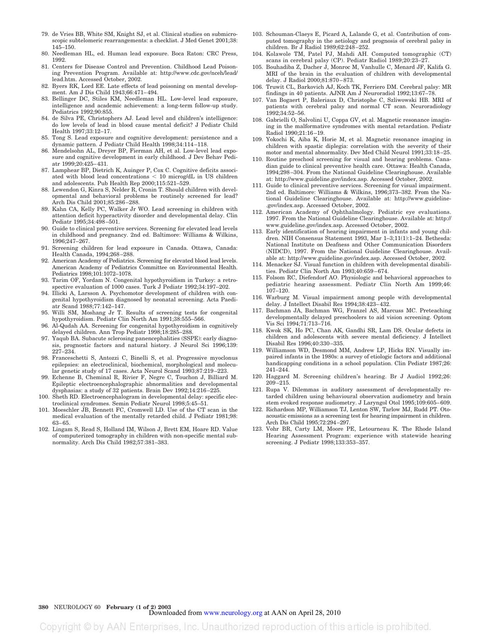- 79. de Vries BB, White SM, Knight SJ, et al. Clinical studies on submicroscopic subtelomeric rearrangements: a checklist. J Med Genet 2001;38: 145–150.
- 80. Needleman HL, ed. Human lead exposure. Boca Raton: CRC Press, 1992.
- 81. Centers for Disease Control and Prevention. Childhood Lead Poisoning Prevention Program. Available at: http://www.cdc.gov/nceh/lead/ lead.htm. Accessed October, 2002.
- 82. Byers RK, Lord EE. Late effects of lead poisoning on mental development. Am J Dis Child 1943;66:471– 494.
- 83. Bellinger DC, Stiles KM, Needleman HL. Low-level lead exposure, intelligence and academic achievement: a long-term follow-up study. Pediatrics 1992;90:855.
- 84. de Silva PE, Christophers AJ. Lead level and children's intelligence: do low levels of lead in blood cause mental deficit? J Pediatr Child Health 1997;33:12–17.
- 85. Tong S. Lead exposure and cognitive development: persistence and a dynamic pattern. J Pediatr Child Health 1998;34:114 –118.
- 86. Mendelsohn AL, Dreyer BP, Fierman AH, et al. Low-level lead exposure and cognitive development in early childhood. J Dev Behav Pediatr 1999;20:425– 431.
- 87. Lamphear BP, Dietrich K, Auinger P, Cox C. Cognitive deficits associated with blood lead concentrations  $\leq 10$  microg/dL in US children and adolescents. Pub Health Rep 2000;115:521–529.
- 88. Lewendon G, Kinra S, Nelder R, Cronin T. Should children with developmental and behavioral problems be routinely screened for lead? Arch Dis Child 2001;85:286 –288.
- 89. Kahn CA, Kelly PC, Walker Jr WO. Lead screening in children with attention deficit hyperactivity disorder and developmental delay. Clin Pediatr 1995;34:498 –501.
- 90. Guide to clinical preventive services. Screening for elevated lead levels in childhood and pregnancy. 2nd ed. Baltimore: Williams & Wilkins, 1996;247–267.
- 91. Screening children for lead exposure in Canada. Ottawa, Canada: Health Canada, 1994;268 –288.
- 92. American Academy of Pediatrics. Screening for elevated blood lead levels. American Academy of Pediatrics Committee on Environmental Health. Pediatrics 1998;101:1072–1078.
- 93. Tarim OF, Yordam N. Congenital hypothyroidism in Turkey: a retrospective evaluation of 1000 cases. Turk J Pediatr 1992;34:197–202.
- 94. Illicki A, Larsson A. Psychomotor development of children with congenital hypothyroidism diagnosed by neonatal screening. Acta Paediatr Scand 1988;77:142–147.
- 95. Willi SM, Moshang Jr T. Results of screening tests for congenital hypothyroidism. Pediatr Clin North Am 1991;38:555–566.
- 96. Al-Qudah AA. Screening for congenital hypothyroidism in cognitively delayed children. Ann Trop Pediatr 1998;18:285–288.
- 97. Yaqub BA. Subacute sclerosing panencephalities (SSPE): early diagnosis, prognostic factors and natural history. J Neurol Sci 1996;139: 227–234.
- 98. Franceschetti S, Antozzi C, Binelli S, et al. Progressive myoclonus epilepsies: an electroclinical, biochemical, morphological and molecular genetic study of 17 cases. Acta Neurol Scand 1993;87:219 –223.
- 99. Echenne B, Cheminal R, Rivier F, Negre C, Touchon J, Billiard M. Epileptic electroencephalographic abnormalities and developmental dysphasias: a study of 32 patients. Brain Dev 1992;14:216 –225.
- 100. Sheth RD. Electroencephalogram in developmental delay: specific electroclinical syndromes. Semin Pediatr Neurol 1998;5:45–51.
- 101. Moeschler JB, Bennett FC, Cromwell LD. Use of the CT scan in the medical evaluation of the mentally retarded child. J Pediatr 1981;98: 63– 65.
- 102. Lingam S, Read S, Holland IM, Wilson J, Brett EM, Hoare RD. Value of computerized tomography in children with non-specific mental subnormality. Arch Dis Child 1982;57:381–383.
- 103. Schouman-Claeys E, Picard A, Lalande G, et al. Contribution of computed tomography in the aetiology and prognosis of cerebral palsy in children. Br J Radiol 1989;62:248 –252.
- 104. Kolawole TM, Patel PJ, Mahdi AH. Computed tomographic (CT) scans in cerebral palsy (CP). Pediatr Radiol 1989;20:23–27.
- 105. Bouhadiba Z, Dacher J, Monroc M, Vanhulle C, Menard JF, Kalifa G. MRI of the brain in the evaluation of children with developmental delay. J Radiol 2000;81:870 – 873.
- 106. Truwit CL, Barkovich AJ, Koch TK, Ferriero DM. Cerebral palsy: MR findings in 40 patients. AJNR Am J Neuroradiol 1992;13:67–78.
- 107. Van Bogaert P, Baleriaux D, Christophe C, Szliwowski HB. MRI of patients with cerebral palsy and normal CT scan. Neuroradiology 1992;34:52–56.
- 108. Gabrielli O, Salvolini U, Coppa GV, et al. Magnetic resonance imagining in the malformative syndromes with mental retardation. Pediatr Radiol 1990;21:16 –19.
- 109. Yokochi K, Aiba K, Horie M, et al. Magnetic resonance imaging in children with spastic diplegia: correlation with the severity of their motor and mental abnormality. Dev Med Child Neurol 1991;33:18 –25.
- 110. Routine preschool screening for visual and hearing problems. Canadian guide to clinical preventive health care. Ottawa: Health Canada, 1994;298 –304. From the National Guideline Clearinghouse. Available at: http://www.guideline.gov/index.asp. Accessed October, 2002.
- 111. Guide to clinical preventive services. Screening for visual impairment. 2nd ed. Baltimore: Williams & Wilkins, 1996;373–382. From the National Guideline Clearinghouse. Available at: http://www.guideline- .gov/index.asp. Accessed October, 2002.
- 112. American Academy of Ophthalmology. Pediatric eye evaluations. 1997. From the National Guideline Clearinghouse. Available at: http:// www.guideline.gov/index.asp. Accessed October, 2002.
- 113. Early identification of hearing impairment in infants and young children. NIH Consensus Statement 1993, Mar 1–3;11(1):1–24. Bethesda: National Institute on Deafness and Other Communication Disorders (NIDCD), 1997. From the National Guideline Clearinghouse. Available at: http://www.guideline.gov/index.asp. Accessed October, 2002.
- 114. Menacker SJ. Visual function in children with developmental disabilities. Pediatr Clin North Am 1993;40:659 – 674.
- 115. Folsom RC, Diefendorf AO. Physiologic and behavioral approaches to pediatric hearing assessment. Pediatr Clin North Am 1999;46: 107–120.
- 116. Warburg M. Visual impairment among people with developmental delay. J Intellect Disabil Res 1994;38:423– 432.
- 117. Bachman JA, Bachman WG, Franzel AS, Marcuss MC. Preteaching developmentally delayed preschoolers to aid vision screening. Optom Vis Sci 1994;71:713–716.
- 118. Kwok SK, Ho PC, Chan AK, Gandhi SR, Lam DS. Ocular defects in children and adolescents with severe mental deficiency. J Intellect Disabil Res 1996;40:330 –335.
- 119. Williamson WD, Desmond MM, Andrew LP, Hicks RN. Visually impaired infants in the 1980s: a survey of etiologic factors and additional handicapping conditions in a school population. Clin Pediatr 1987;26: 241–244.
- 120. Haggard M. Screening children's hearing. Br J Audiol 1992;26:  $209 - 215$ .
- 121. Rupa V. Dilemmas in auditory assessment of developmentally retarded children using behavioural observation audiometry and brain stem evoked response audiometry. J Laryngol Otol 1995;109:605– 609.
- 122. Richardson MP, Williamson TJ, Lenton SW, Tarlow MJ, Rudd PT. Otoacoustic emissions as a screening test for hearing impairment in children. Arch Dis Child 1995;72:294–297.
- 123. Vohr BR, Carty LM, Moore PE, Letourneau K. The Rhode Island Hearing Assessment Program: experience with statewide hearing screening. J Pediatr 1998;133:353–357.